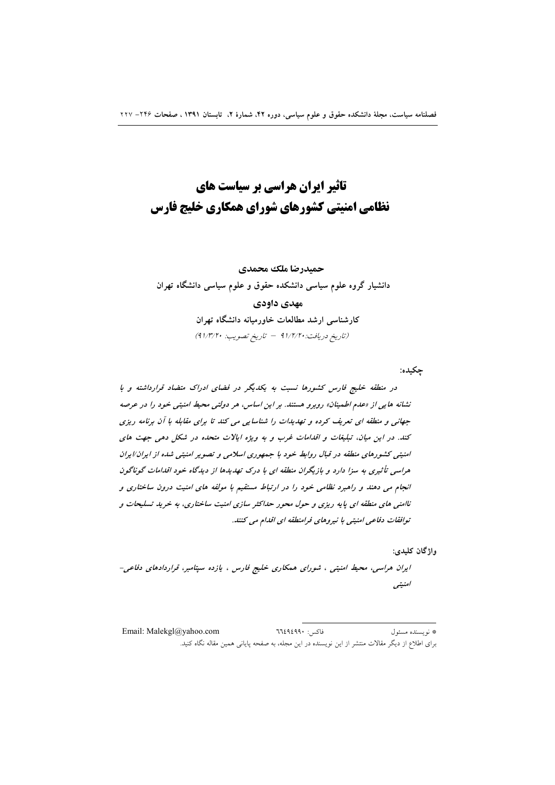# تاثیر ایران هراسی بر سیاست های نظامی امنیتی کشورهای شورای همکاری خلیج فارس

# حميدرضا ملك محمدي دانشیار گروه علوم سیاسی دانشکده حقوق و علوم سیاسی دانشگاه تهران مهدي داودي کارشناسی ارشد مطالعات خاورمیانه دانشگاه تهران (تاريخ دريافت: ٩١/٢/٢٠ - تاريخ تصويب: ٩١/٣/٢٠)

چکیده:

در منطقه خلیج فارس کشورها نسبت به یکدیگر در فضای ادراک متضاد قرارداشته و با نشانه هایی از «عدم اطمینان» روبرو هستند. بر این اساس، هر دولتی محیط امنیتی خود را در عرصه جهانی و منطقه ای تعریف کرده و تهدیدات را شناسایی می کند تا برای مقابله با آن برنامه ریزی کند. در این میان، تبلیغات و اقدامات غرب و به ویژه ایالات متحده در شکل دهی جهت های امنیتی کشورهای منطقه در قبال روابط خود با جمهوری اسلامی و تصویر امنیتی شده از ایران/ایران هراسی تأثیری به سزا دارد و بازیگران منطقه ای با درک تهدیدها از دیدگاه خود اقدامات گوناگون انجام می دهند و راهبرد نظامی خود را در ارتباط مستقیم با مولفه های امنیت درون ساختاری و ناامنی های منطقه ای پایه ریزی و حول محور حداکثر سازی امنیت ساختاری، به خرید تسلیحات و توافقات دفاعی امنیتی با نیروهای فرامنطقه ای اقدام می کنند.

واژگان کليدي:

ایران هراسی، محیط امنیتی ، شورای همکاری خلیج فارس ، یازده سپتامبر، قراردادهای دفاعی-امنينبي

Email: Malekgl@yahoo.com فاكس: ٦٦٤٩٤٩٩٠ \* نو يسنده مسئول برای اطلاع از دیگر مقالات منتشر از این نویسنده در این مجله، به صفحه پایانی همین مقاله نگاه کنید.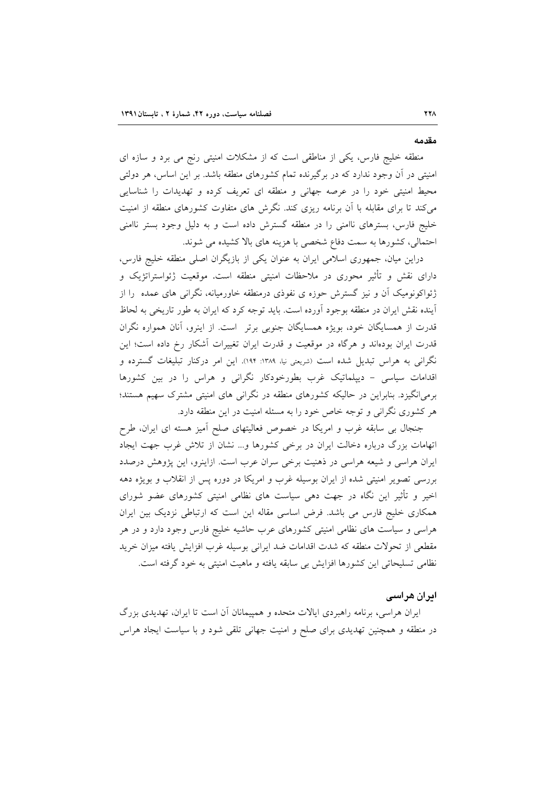#### مقدمه

منطقه خلیج فارس، یکی از مناطقی است که از مشکلات امنیتی رنج می برد و سازه ای امنیتی در آن وجود ندارد که در برگیرنده تمام کشورهای منطقه باشد. بر این اساس، هر دولتی محیط امنیتی خود را در عرصه جهانی و منطقه ای تعریف کرده و تهدیدات را شناسایی می کند تا برای مقابله با آن برنامه ریزی کند. نگرش های متفاوت کشورهای منطقه از امنیت خلیج فارس، بسترهای ناامنی را در منطقه گسترش داده است و به دلیل وجود بستر ناامنی احتمالی، کشورها به سمت دفاع شخصی با هزینه های بالا کشیده می شوند.

دراین میان، جمهوری اسلامی ایران به عنوان یکی از بازیگران اصلی منطقه خلیج فارس، دارای نقش و تأثیر محوری در ملاحظات امنیتی منطقه است. موقعیت ژئواستراتژیک و ژئواکونومیک آن و نیز گسترش حوزه ی نفوذی درمنطقه خاورمیانه، نگرانی های عمده را از اًینده نقش ایران در منطقه بوجود اَورده است. باید توجه کرد که ایران به طور تاریخی به لحاظ قدرت از همسایگان خود، بویژه همسایگان جنوبی برتر است. از اینرو، آنان همواره نگران قدرت ایران بودهاند و هرگاه در موقعیت و قدرت ایران تغییرات آشکار رخ داده است؛ این نگرانی به هراس تبدیل شده است (شریعتی نیا، ۱۳۸۹: ۱۹۴). این امر درکنار تبلیغات گسترده و اقدامات سیاسی - دیپلماتیک غرب بطورخودکار نگرانی و هراس را در بین کشورها برمیانگیزد. بنابراین در حالیکه کشورهای منطقه در نگرانی های امنیتی مشترک سهیم هستند؛ هر کشوری نگرانی و توجه خاص خود را به مسئله امنیت در این منطقه دارد.

جنجال بی سابقه غرب و امریکا در خصوص فعالیتهای صلح آمیز هسته ای ایران، طرح اتهامات بزرگ درباره دخالت ایران در برخی کشورها و... نشان از تلاش غرب جهت ایجاد ایران هراسی و شیعه هراسی در ذهنیت برخی سران عرب است. ازاینرو، این پژوهش درصدد بررسی تصویر امنیتی شده از ایران بوسیله غرب و امریکا در دوره پس از انقلاب و بویژه دهه اخیر و تأثیر این نگاه در جهت دهی سیاست های نظامی امنیتی کشورهای عضو شورای همکاری خلیج فارس می باشد. فرض اساسی مقاله این است که ارتباطی نزدیک بین ایران هراسی و سیاست های نظامی امنیتی کشورهای عرب حاشیه خلیج فارس وجود دارد و در هر مقطعی از تحولات منطقه که شدت اقدامات ضد ایرانی بوسیله غرب افزایش یافته میزان خرید نظامی تسلیحاتی این کشورها افزایش بی سابقه یافته و ماهیت امنیتی به خود گرفته است.

#### ایران هراسی

ایران هراسی، برنامه راهبردی ایالات متحده و همپیمانان آن است تا ایران، تهدیدی بزرگ در منطقه و همچنین تهدیدی برای صلح و امنیت جهانی تلقی شود و با سیاست ایجاد هراس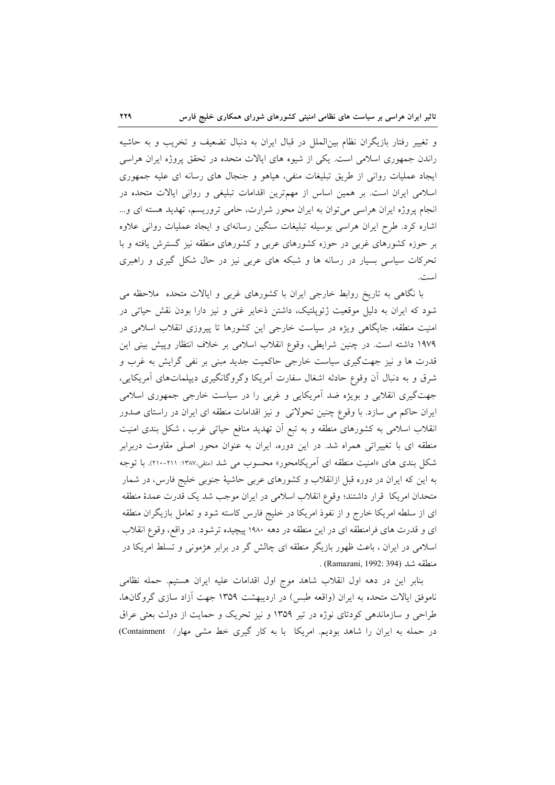و تغییر رفتار بازیگران نظام بینالملل در قبال ایران به دنبال تضعیف و تخریب و به حاشیه راندن جمهوری اسلامی است. یکی از شیوه های ایالات متحده در تحقق پروژه ایران هراسی ایجاد عملیات روانی از طریق تبلیغات منفی، هیاهو و جنجال های رسانه ای علیه جمهوری اسلامی ایران است. بر همین اساس از مهمترین اقدامات تبلیغی و روانی ایالات متحده در انجام پروژه ایران هراسی می توان به ایران محور شرارت، حامی تروریسم، تهدید هسته ای و... اشاره کرد. طرح ایران هراسی بوسیله تبلیغات سنگین رسانهای و ایجاد عملیات روانی علاوه بر حوزه کشورهای غربی در حوزه کشورهای عربی و کشورهای منطقه نیز گسترش یافته و با تحرکات سیاسی بسیار در رسانه ها و شبکه های عربی نیز در حال شکل گیری و راهبری است.

با نگاهی به تاریخ روابط خارجی ایران با کشورهای غربی و ایالات متحده ملاحظه می شود که ایران به دلیل موقعیت ژئوپلتیک، داشتن ذخایر غنی و نیز دارا بودن نقش حیاتی در امنیت منطقه، جایگاهی ویژه در سیاست خارجی این کشورها تا پیروزی انقلاب اسلامی در ١٩٧٩ داشته است. در چنین شرایطی، وقوع انقلاب اسلامی بر خلاف انتظار وپیش بینی این قدرت ها و نیز جهتگیری سیاست خارجی حاکمیت جدید مبنی بر نفی گرایش به غرب و شرق و به دنبال آن وقوع حادثه اشغال سفارت آمريكا وگروگانگيري ديپلماتهاي آمريكايي، جهتگیری انقلابی و بویژه ضد آمریکایی و غربی را در سیاست خارجی جمهوری اسلامی ایران حاکم می سازد. با وقوع چنین تحولاتی و نیز اقدامات منطقه ای ایران در راستای صدور انقلاب اسلامی به کشورهای منطقه و به تبع اَن تهدید منافع حیاتی غرب ، شکل بندی امنیت منطقه ای با تغییراتی همراه شد. در این دوره، ایران به عنوان محور اصلی مقاومت دربرابر شکل بندی های «امنیت منطقه ای آمریکامحور» محسوب می شد (متفی،۱۳۸۷: ۲۱۱-۲۱۰). با توجه به این که ایران در دوره قبل ازانقلاب و کشورهای عربی حاشیهٔ جنوبی خلیج فارس، در شمار متحدان امريكا قرار داشتند؛ وقوع انقلاب اسلامي در ايران موجب شد يك قدرت عمدهٔ منطقه ای از سلطه امریکا خارج و از نفوذ امریکا در خلیج فارس کاسته شود و تعامل بازیگران منطقه ای و قدرت های فرامنطقه ای در این منطقه در دهه ۱۹۸۰ پیچیده ترشود. در واقع، وقوع انقلاب اسلامی در ایران ، باعث ظهور بازیگر منطقه ای چالش گر در برابر هژمونی و تسلط امریکا در منطقه شد (Ramazani, 1992: 394) .

بنابر این در دهه اول انقلاب شاهد موج اول اقدامات علیه ایران هستیم. حمله نظامی ناموفق ایالات متحده به ایران (واقعه طبس) در اردیبهشت ۱۳۵۹ جهت آزاد سازی گروگانها، طراحی و سازماندهی کودتای نوژه در تیر ۱۳۵۹ و نیز تحریک و حمایت از دولت بعثی عراق در حمله به ایران را شاهد بودیم. امریکا با به کار گیری خط مشی مهار/ Containment)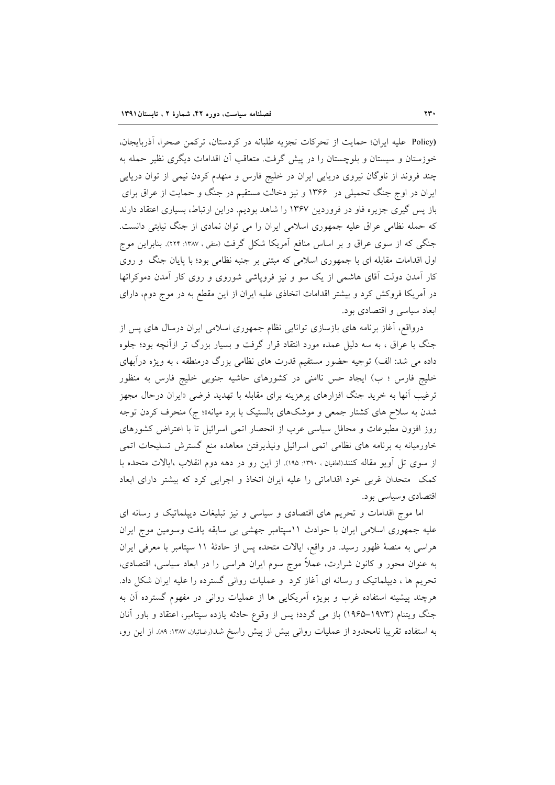(Policy عليه ايران؛ حمايت از تحركات تجزيه طلبانه در كردستان، تركمن صحرا، آذربايجان، خوزستان و سیستان و بلوچستان را در پیش گرفت. متعاقب آن اقدامات دیگری نظیر حمله به چند فروند از ناوگان نیروی دریایی ایران در خلیج فارس و منهدم کردن نیمی از توان دریایی ایران در اوج جنگ تحمیلی در ۱۳۶۶ و نیز دخالت مستقیم در جنگ و حمایت از عراق برای باز پس گیری جزیره فاو در فروردین ۱۳۶۷ را شاهد بودیم. دراین ارتباط، بسیاری اعتقاد دارند که حمله نظامی عراق علیه جمهوری اسلامی ایران را می توان نمادی از جنگ نیابتی دانست. جنگی که از سوی عراق و بر اساس منافع آمریکا شکل گرفت (متقی ، ۱۳۸۷: ۲۲۴). بنابراین موج اول اقدامات مقابله ای با جمهوری اسلامی که مبتنی بر جنبه نظامی بود؛ با پایان جنگ و روی کار آمدن دولت آقای هاشمی از یک سو و نیز فروپاشی شوروی و روی کار آمدن دموکراتها در آمریکا فروکش کرد و بیشتر اقدامات اتخاذی علیه ایران از این مقطع به در موج دوم، دارای ابعاد سياسي و اقتصادي بود.

درواقع، آغاز برنامه های بازسازی توانایی نظام جمهوری اسلامی ایران درسال های پس از جنگ با عراق ، به سه دلیل عمده مورد انتقاد قرار گرفت و بسیار بزرگ تر ازآنچه بود؛ جلوه داده می شد: الف) توجیه حضور مستقیم قدرت های نظامی بزرگ درمنطقه ، به ویژه درآبهای خلیج فارس ؛ ب) ایجاد حس ناامنی در کشورهای حاشیه جنوبی خلیج فارس به منظور ترغیب آنها به خرید جنگ افزارهای پرهزینه برای مقابله با تهدید فرضی «ایران درحال مجهز شدن به سلاح های کشتار جمعی و موشکهای بالستیک با برد میانه»؛ ج) منحرف کردن توجه روز افزون مطبوعات و محافل سیاسی عرب از انحصار اتمی اسرائیل تا با اعتراض کشورهای خاورمیانه به برنامه های نظامی اتمی اسرائیل ونیذیرفتن معاهده منع گسترش تسلیحات اتمی از سوی تل اَویو مقاله کنند(لطفیان ، ۱۳۹۰: ۱۹۵). از این رو در دهه دوم انقلاب ،ایالات متحده با کمک متحدان غربی خود اقداماتی را علیه ایران اتخاذ و اجرایی کرد که بیشتر دارای ابعاد اقتصادي وسياسي بود.

اما موج اقدامات و تحریم های اقتصادی و سیاسی و نیز تبلیغات دیپلماتیک و رسانه ای علیه جمهوری اسلامی ایران با حوادث ١١سپتامبر جهشی بی سابقه یافت وسومین موج ایران هراسی به منصهٔ ظهور رسید. در واقع، ایالات متحده پس از حادثهٔ ۱۱ سپتامبر با معرفی ایران به عنوان محور و کانون شرارت، عملاً موج سوم ایران هراسی را در ابعاد سیاسی، اقتصادی، تحریم ها ، دیپلماتیک و رسانه ای آغاز کرد و عملیات روانی گسترده را علیه ایران شکل داد. هرچند پیشینه استفاده غرب و بویژه آمریکایی ها از عملیات روانی در مفهوم گسترده آن به جنگ ویتنام (۱۹۷۳–۱۹۶۵) باز می گردد؛ پس از وقوع حادثه یازده سپتامبر، اعتقاد و باور آنان به استفاده تقریبا نامحدود از عملیات روانی بیش از پیش راسخ شد(رضائیان، ۱۳۸۷: ۸۹. از این رو،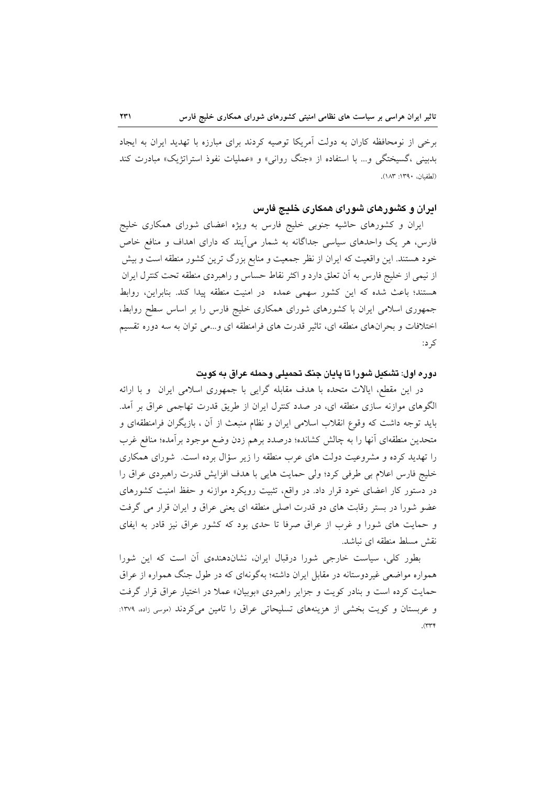برخی از نومحافظه کاران به دولت آمریکا توصیه کردند برای مبارزه با تهدید ایران به ایجاد بدبینی ،گسیختگی و… با استفاده از «جنگ روانی» و «عملیات نفوذ استراتژیک» مبادرت کند (لطفيان، ١٣٩٠: ١٨٣).

## ایران و کشورهای شورای همکاری خلیج فارس

ایران و کشورهای حاشیه جنوبی خلیج فارس به ویژه اعضای شورای همکاری خلیج فارس، هر یک واحدهای سیاسی جداگانه به شمار میآیند که دارای اهداف و منافع خاص خود هستند. این واقعیت که ایران از نظر جمعیت و منابع بزرگ ترین کشور منطقه است و بیش از نیمی از خلیج فارس به اّن تعلق دارد و اکثر نقاط حساس و راهبردی منطقه تحت کنترل ایران هستند؛ باعث شده كه اين كشور سهمى عمده در امنيت منطقه پيدا كند. بنابراين، روابط جمهوری اسلامی ایران با کشورهای شورای همکاری خلیج فارس را بر اساس سطح روابط، اختلافات و بحرانهای منطقه ای، تاثیر قدرت های فرامنطقه ای و…می توان به سه دوره تقسیم ک د:

دوره اول: تشکیل شورا تا پایان جنگ تحمیلی وحمله عراق به کویت

در این مقطع، ایالات متحده با هدف مقابله گرایی با جمهوری اسلامی ایران و با ارائه الگوهای موازنه سازی منطقه ای، در صدد کنترل ایران از طریق قدرت تهاجمی عراق بر آمد. باید توجه داشت که وقوع انقلاب اسلامی ایران و نظام منبعث از آن ، بازیگران فرامنطقهای و متحدین منطقهای أنها را به چالش کشانده؛ درصدد برهم زدن وضع موجود برأمده؛ منافع غرب را تهدید کرده و مشروعیت دولت های عرب منطقه را زیر سؤال برده است. شورای همکاری خليج فارس اعلام بي طرفي كرد؛ ولي حمايت هايي با هدف افزايش قدرت راهبردي عراق را در دستور کار اعضای خود قرار داد. در واقع، تثبیت رویکرد موازنه و حفظ امنیت کشورهای عضو شورا در بستر رقابت های دو قدرت اصلی منطقه ای یعنی عراق و ایران قرار می گرفت و حمایت های شورا و غرب از عراق صرفا تا حدی بود که کشور عراق نیز قادر به ایفای نقش مسلط منطقه ای نباشد.

بطور کلی، سیاست خارجی شورا درقبال ایران، نشاندهندهی آن است که این شورا همواره مواضعی غیردوستانه در مقابل ایران داشته؛ بهگونهای که در طول جنگ همواره از عراق حمایت کرده است و بنادر کویت و جزایر راهبردی «بوبیان» عملا در اختیار عراق قرار گرفت و عربستان و کویت بخشی از هزینههای تسلیحاتی عراق را تامین می کردند (موسی زاده، ۱۳۷۹:  $(rrf)$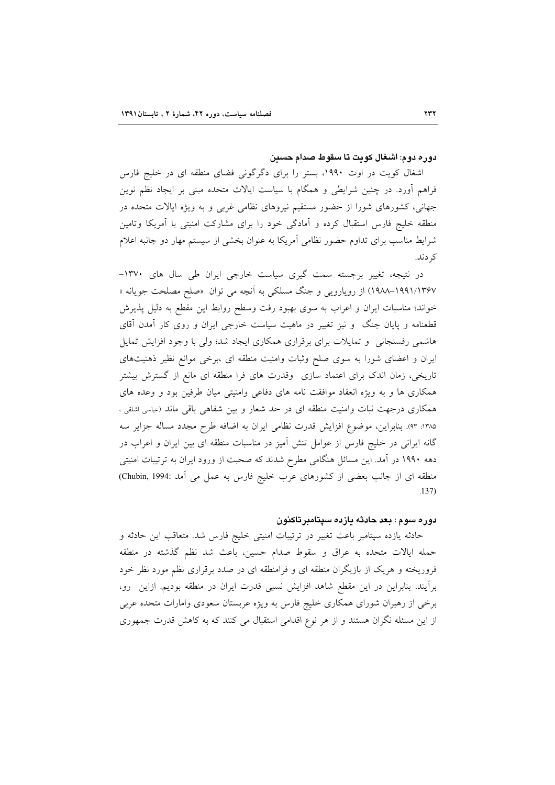#### دوره دوم: اشغال كويت تا سقوط صدام حسين

اشغال کویت در اوت ۱۹۹۰، بستر را برای دگرگونی فضای منطقه ای در خلیج فارس فراهم أورد. در چنین شرایطی و همگام با سیاست ایالات متحده مبنی بر ایجاد نظم نوین جهانی، کشورهای شورا از حضور مستقیم نیروهای نظامی غربی و به ویژه ایالات متحده در منطقه خلیج فارس استقبال کرده و آمادگی خود را برای مشارکت امنیتی با آمریکا وتامین شرایط مناسب برای تداوم حضور نظامی آمریکا به عنوان بخشی از سیستم مهار دو جانبه اعلام کہ دند.

در نتیجه، تغییر برجسته سمت گیری سیاست خارجی ایران طی سال های ۱۳۷۰-۱۹۹۱/۱۳۶۷–۱۹۸۸) از رویارویی و جنگ مسلکی به آنچه می توان «صلح مصلحت جویانه » خواند؛ مناسبات ایران و اعراب به سوی بهبود رفت وسطح روابط این مقطع به دلیل پذیرش قطعنامه و پایان جنگ و نیز تغییر در ماهیت سیاست خارجی ایران و روی کار آمدن آقای هاشمی رفسنجانی و تمایلات برای برقراری همکاری ایجاد شد؛ ولی با وجود افزایش تمایل ایران و اعضای شورا به سوی صلح وثبات وامنیت منطقه ای ،برخی موانع نظیر ذهنیتهای تاریخی، زمان اندک برای اعتماد سازی وقدرت های فرا منطقه ای مانع از گسترش بیشتر همکاری ها و به ویژه انعقاد موافقت نامه های دفاعی وامنیتی میان طرفین بود و وعده های همکاری درجهت ثبات وامنیت منطقه ای در حد شعار و بین شفاهی باقی ماند (عباسی اشلقی ، ۱۳۸۵: ۹۳). بنابراین، موضوع افزایش قدرت نظامی ایران به اضافه طرح مجدد مساله جزایر سه گانه ایرانی در خلیج فارس از عوامل تنش آمیز در مناسبات منطقه ای بین ایران و اعراب در دهه ۱۹۹۰ در آمد. این مسائل هنگامی مطرح شدند که صحبت از ورود ایران به ترتیبات امنیتی منطقه ای از جانب بعضی از کشورهای عرب خلیج فارس به عمل می أمد :Chubin, 1994)  $137$ 

### دوره سوم : بعد حادثه یازده سپتامبرتاکنون

حادثه یازده سپتامبر باعث تغییر در ترتیبات امنیتی خلیج فارس شد. متعاقب این حادثه و حمله ايالات متحده به عراق و سقوط صدام حسين، باعث شد نظم گذشته در منطقه فروریخته و هریک از بازیگران منطقه ای و فرامنطقه ای در صدد برقراری نظم مورد نظر خود برآيند. بنابراين در اين مقطع شاهد افزايش نسبى قدرت ايران در منطقه بوديم. ازاين رو، برخی از رهبران شورای همکاری خلیج فارس به ویژه عربستان سعودی وامارات متحده عربی از این مسئله نگران هستند و از هر نوع اقدامی استقبال می کنند که به کاهش قدرت جمهوری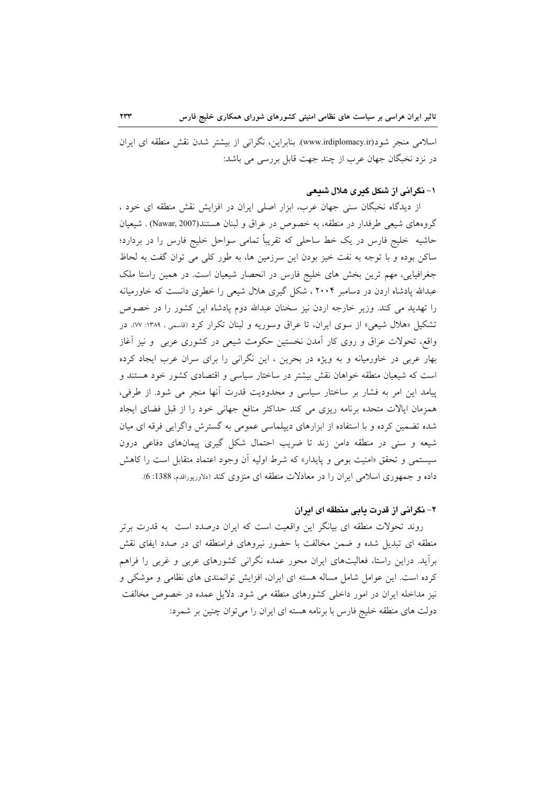اسلامی منجر شود(www.irdiplomacy.ir). بنابراین، نگرانی از بیشتر شدن نقش منطقه ای ایران در نزد نخبگان جهان عرب از چند جهت قابل بررسی می باشد:

#### ۱– نگرانی از شکل گیری هلال شیعی

از دیدگاه نخبگان سنی جهان عرب، ابزار اصلی ایران در افزایش نقش منطقه ای خود ، گروههای شیعی طرفدار در منطقه، به خصوص در عراق و لبنان هستند(Nawar, 2007) . شیعیان حاشیه خلیج فارس در یک خط ساحلی که تقریباً تمامی سواحل خلیج فارس را در بردارد؛ ساکن بوده و با توجه به نفت خیز بودن این سرزمین ها، به طور کلی می توان گفت به لحاظ جغرافیایی، مهم ترین بخش های خلیج فارس در انحصار شیعیان است. در همین راستا ملک عبدالله پادشاه اردن در دسامبر ۲۰۰۴ ، شکل گیری هلال شیعی را خطری دانست که خاورمیانه را تهدید می کند. وزیر خارجه اردن نیز سخنان عبدالله دوم پادشاه این کشور را در خصوص تشکیل «هلال شیعی» از سوی ایران، تا عراق وسوریه و لبنان تکرار کرد (قاسمی ، ۱۳۸۹: w). در واقع، تحولات عراق و روی کار آمدن نخستین حکومت شیعی در کشوری عربی ًو نیز اَغاز بهار عربی در خاورمیانه و به ویژه در بحرین ، این نگرانی را برای سران عرب ایجاد کرده است که شیعیان منطقه خواهان نقش بیشتر در ساختار سیاسی و اقتصادی کشور خود هستند و پیامد این امر به فشار بر ساختار سیاسی و محدودیت قدرت آنها منجر می شود. از طرفی، همزمان ایالات متحده برنامه ریزی می کند حداکثر منافع جهانی خود را از قبل فضای ایجاد شده تضمین کرده و با استفاده از ابزارهای دیپلماسی عمومی به گسترش واگرایی فرقه ای میان شیعه و سنی در منطقه دامن زند تا ضریب احتمال شکل گیری پیمانهای دفاعی درون سیستمی و تحقق «امنیت بومی و پایدار» که شرط اولیه آن وجود اعتماد متقابل است را کاهش داده و جمهوری اسلامی ایران را در معادلات منطقه ای منزوی کند (دلاوریوراقدم، 1388: 6).

#### ۲- نگرانی از قدرت مامی منطقه ای امران

روند تحولات منطقه ای بیانگر این واقعیت است که ایران درصدد است به قدرت برتر منطقه ای تبدیل شده و ضمن مخالفت با حضور نیروهای فرامنطقه ای در صدد ایفای نقش برآید. دراین راستا، فعالیتهای ایران محور عمده نگرانی کشورهای عربی و غربی را فراهم کرده است. این عوامل شامل مساله هسته ای ایران، افزایش توانمندی های نظامی و موشکی و نیز مداخله ایران در امور داخلی کشورهای منطقه می شود. دلایل عمده در خصوص مخالفت دولت های منطقه خلیج فارس با برنامه هسته ای ایران را می توان چنین بر شمرد: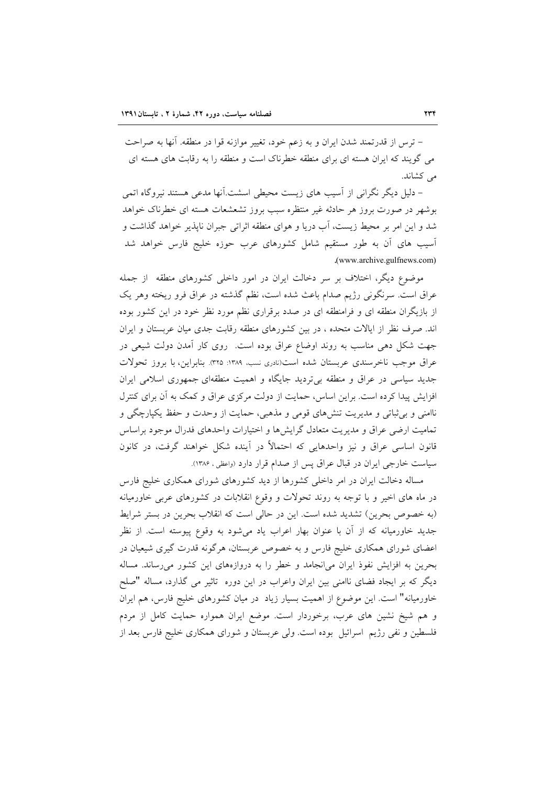– ترس از قدرتمند شدن ايران و به زعم خود، تغيير موازنه قوا در منطقه. آنها به صراحت می گویند که ایران هسته ای برای منطقه خطرناک است و منطقه را به رقابت های هسته ای می کشاند.

– دلیل دیگر نگرانی از آسیب های زیست محیطی اسشت.آنها مدعی هستند نیروگاه اتمی بوشهر در صورت بروز هر حادثه غیر منتظره سبب بروز تشعشعات هسته ای خطرناک خواهد شد و این امر بر محیط زیست، آب دریا و هوای منطقه اثراتی جبران ناپذیر خواهد گذاشت و آسیب های آن به طور مستقیم شامل کشورهای عرب حوزه خلیج فارس خواهد شد .(www.archive.gulfnews.com)

موضوع دیگر، اختلاف بر سر دخالت ایران در امور داخلی کشورهای منطقه ًاز جمله عراق است. سرنگونی رژیم صدام باعث شده است، نظم گذشته در عراق فرو ریخته وهر یک از بازیگران منطقه ای و فرامنطقه ای در صدد برقراری نظم مورد نظر خود در این کشور بوده اند. صرف نظر از ایالات متحده ، در بین کشورهای منطقه رقابت جدی میان عربستان و ایران جهت شکل دهی مناسب به روند اوضاع عراق بوده است. روی کار آمدن دولت شیعی در عراق موجب ناخرسندي عربستان شده است(نادري نسب، ١٣٨٩: ٣٢٥). بنابراين، با بروز تحولات جدید سیاسی در عراق و منطقه بی تردید جایگاه و اهمیت منطقهای جمهوری اسلامی ایران افزایش پیدا کرده است. براین اساس، حمایت از دولت مرکزی عراق و کمک به آن برای کنترل ناامنی و بی ثباتی و مدیریت تنشهای قومی و مذهبی، حمایت از وحدت و حفظ یکپارچگی و تمامیت ارضی عراق و مدیریت متعادل گرایشها و اختیارات واحدهای فدرال موجود براساس قانون اساسی عراق و نیز واحدهایی که احتمالاً در آینده شکل خواهند گرفت، در کانون سیاست خارجی ایران در قبال عراق پس از صدام قرار دارد (واعظی ، ۱۳۸۶).

مساله دخالت ایران در امر داخلی کشورها از دید کشورهای شورای همکاری خلیج فارس در ماه های اخیر و با توجه به روند تحولات و وقوع انقلابات در کشورهای عربی خاورمیانه (به خصوص بحرین) تشدید شده است. این در حالی است که انقلاب بحرین در بستر شرایط جدید خاورمیانه که از آن با عنوان بهار اعراب یاد میشود به وقوع پیوسته است. از نظر اعضای شورای همکاری خلیج فارس و به خصوص عربستان، هرگونه قدرت گیری شیعیان در بحرین به افزایش نفوذ ایران میانجامد و خطر را به دروازههای این کشور می رساند. مساله دیگر که بر ایجاد فضای ناامنی بین ایران واعراب در این دوره تاثیر می گذارد، مساله "صلح خاورمیانه" است. این موضوع از اهمیت بسیار زیاد در میان کشورهای خلیج فارس، هم ایران و هم شیخ نشین های عرب، برخوردار است. موضع ایران همواره حمایت کامل از مردم فلسطین و نفی رژیم اسرائیل بوده است. ولی عربستان و شورای همکاری خلیج فارس بعد از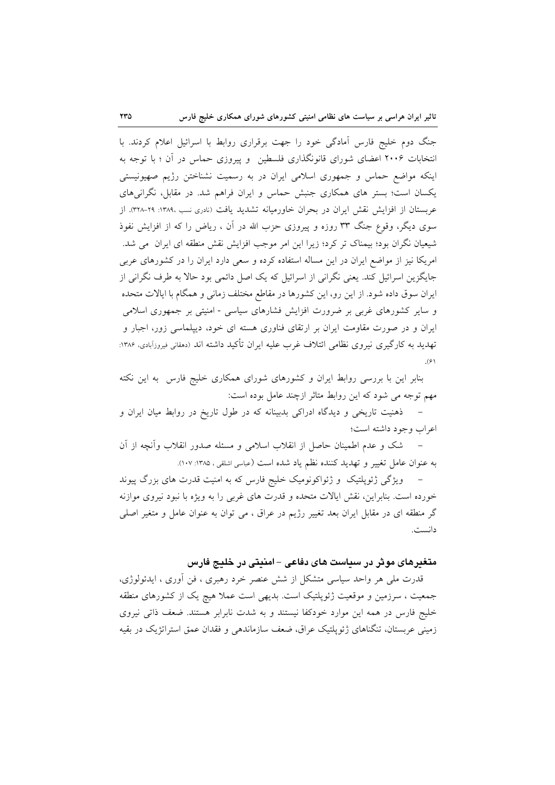جنگ دوم خلیج فارس آمادگی خود را جهت برقراری روابط با اسرائیل اعلام کردند. با انتخابات ۲۰۰۶ اعضای شورای قانونگذاری فلسطین و پیروزی حماس در آن ؛ با توجه به اینکه مواضع حماس و جمهوری اسلامی ایران در به رسمیت نشناختن رژیم صهیونیستی یکسان است؛ بستر های همکاری جنبش حماس و ایران فراهم شد. در مقابل، نگرانیهای عربستان از افزایش نقش ایران در بحران خاورمیانه تشدید یافت (نادری نسب ،۱۳۸۹: ۲۹–۳۲۸). از سوی دیگر، وقوع جنگ ۳۳ روزه و پیروزی حزب الله در آن ، ریاض را که از افزایش نفوذ شیعیان نگران بود؛ بیمناک تر کرد؛ زیرا این امر موجب افزایش نقش منطقه ای ایران می شد. امریکا نیز از مواضع ایران در این مساله استفاده کرده و سعی دارد ایران را در کشورهای عربی جایگزین اسرائیل کند. یعنی نگرانی از اسرائیل که یک اصل دائمی بود حالا به طرف نگرانی از ایران سوق داده شود. از این رو، این کشورها در مقاطع مختلف زمانی و همگام با ایالات متحده و سایر کشورهای غربی بر ضرورت افزایش فشارهای سیاسی - امنیتی بر جمهوری اسلامی ایران و در صورت مقاومت ایران بر ارتقای فناوری هسته ای خود، دیپلماسی زور، اجبار و تهدید به کارگیری نیروی نظامی ائتلاف غرب علیه ایران تأکید داشته اند (دهقانی فیروزآبادی، ۱۳۸۶:  $\mathcal{S}(\mathcal{F})$ 

بنابر این با بررسی روابط ایران و کشورهای شورای همکاری خلیج فارس به این نکته مهم توجه می شود که این روابط متاثر ازچند عامل بوده است:

– ذهنیت تاریخی و دیدگاه ادراکی بدبینانه که در طول تاریخ در روابط میان ایران و اعراب وجود داشته است؛

شک و عدم اطمینان حاصل از انقلاب اسلامی و مسئله صدور انقلاب وأنچه از آن  $\overline{a}$ به عنوان عامل تغییر و تهدید کننده نظم یاد شده است (عباسی اشلقی، ۱۳۸۵: ۱۰۷).

ویژگی ژئوپلتیک و ژئواکونومیک خلیج فارس که به امنیت قدرت های بزرگ پیوند خورده است. بنابراین، نقش ایالات متحده و قدرت های غربی را به ویژه با نبود نیروی موازنه گر منطقه ای در مقابل ایران بعد تغییر رژیم در عراق ، می توان به عنوان عامل و متغیر اصلی دانست.

متغیرهای موثر در سیاست های دفاعی – امنیتی در خلیج فارس

قدرت ملي هر واحد سياسي متشكل از شش عنصر خرد رهبري ، فن آوري ، ايدئولوژي، جمعیت ، سرزمین و موقعیت ژئوپلتیک است. بدیهی است عملا هیچ یک از کشورهای منطقه خلیج فارس در همه این موارد خودکفا نیستند و به شدت نابرابر هستند. ضعف ذاتی نیروی زمینی عربستان، تنگناهای ژئوپلتیک عراق، ضعف سازماندهی و فقدان عمق استراتژیک در بقیه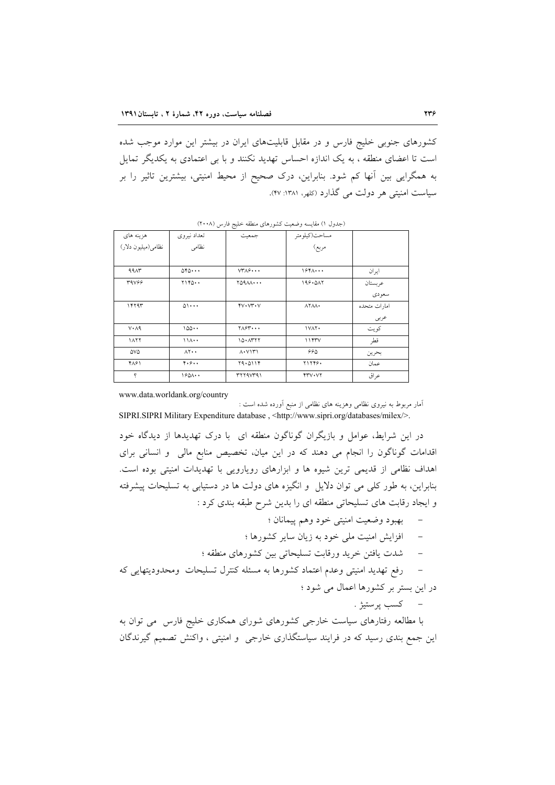کشورهای جنوبی خلیج فارس و در مقابل قابلیتهای ایران در بیشتر این موارد موجب شده است تا اعضای منطقه ، به یک اندازه احساس تهدید نکنند و با بی اعتمادی به یکدیگر تمایل به همگرایی بین آنها کم شود. بنابراین، درک صحیح از محیط امنیتی، بیشترین تاثیر را بر سیاست امنیتی هر دولت می گذارد (کلهر، ۱۳۸۱: ۴۷).

| $\check{}$          |                           |                                                |                                                           |              |  |  |
|---------------------|---------------------------|------------------------------------------------|-----------------------------------------------------------|--------------|--|--|
| هزينه هاي           | تعداد نيروى               | جمعيت                                          |                                                           |              |  |  |
| نظامي(ميليون دلار)  | نظامى                     |                                                | مساحت(کیلومتر<br>مربع)                                    |              |  |  |
|                     |                           |                                                |                                                           |              |  |  |
| <b>9917</b>         | 050                       | $VT\Lambda$ ۶                                  | $154$                                                     | ایر ان       |  |  |
| <b>٣٩٧۶۶</b>        | Y1Y0                      | Y0900                                          | 199.017                                                   | عربستان      |  |  |
|                     |                           |                                                |                                                           | سعودي        |  |  |
| ۱۴۲۹۳               | $0 \cdots$                | $YV\cdot VY\cdot V$                            | $\lambda Y \lambda \lambda$                               | امارات متحده |  |  |
|                     |                           |                                                |                                                           | عربى         |  |  |
| $V \cdot \Lambda$ 9 | 100                       | $Y\wedge Y$                                    | IVAY.                                                     | کو پت        |  |  |
| $\lambda$           | 11A                       | 10.1777                                        | 1157V                                                     | قطر          |  |  |
| 5VQ                 | $\Lambda$ $\cdot$ $\cdot$ | $\Lambda$ $\cdot$ $\vee$ $\uparrow$ $\uparrow$ | 990                                                       | بحرين        |  |  |
| ۴۸۶۱                | 4.9.1                     | 19.0114                                        | <b>TITTS.</b>                                             | عمان         |  |  |
| ę                   | $190$ $\cdots$            | rrr4vra1                                       | $\mathsf{Y}\mathsf{Y}\mathsf{V}\cdot\mathsf{V}\mathsf{Y}$ | عر اق        |  |  |

(جدول ۱) مقایسه وضعیت کشورهای منطقه خلیج فارس (۲۰۰۸)

www.data.worldank.org/country

آمار مربوط به نیروی نظامی وهزینه های نظامی از منبع آورده شده است : SIPRI.SIPRI Military Expenditure database, <http://www.sipri.org/databases/milex/>.

در این شرایط، عوامل و بازیگران گوناگون منطقه ای با درک تهدیدها از دیدگاه خود اقدامات گوناگون را انجام می دهند که در این میان، تخصیص منابع مالی و انسانی برای اهداف نظامی از قدیمی ترین شیوه ها و ابزارهای رویارویی با تهدیدات امنیتی بوده است. بنابراین، به طور کلبی می توان دلایل و انگیزه های دولت ها در دستیابی به تسلیحات پیشرفته و ایجاد رقابت های تسلیحاتی منطقه ای را بدین شرح طبقه بندی کرد :

- بهبود وضعيت امنيتي خود وهم پيمانان ؛
- افزایش امنیت ملی خود به زیان سایر کشورها ؛
- شدت یافتن خرید ورقابت تسلیحاتی بین کشورهای منطقه ؛

رفع تهدید امنیتی وعدم اعتماد کشورها به مسئله کنترل تسلیحات ومحدودیتهایی که  $\overline{\phantom{0}}$ در این بستر بر کشورها اعمال می شود ؛

– کسب پرستیژ .

با مطالعه رفتارهای سیاست خارجی کشورهای شورای همکاری خلیج فارس می توان به این جمع بندی رسید که در فرایند سیاستگذاری خارجی و امنیتی ، واکنش تصمیم گیرندگان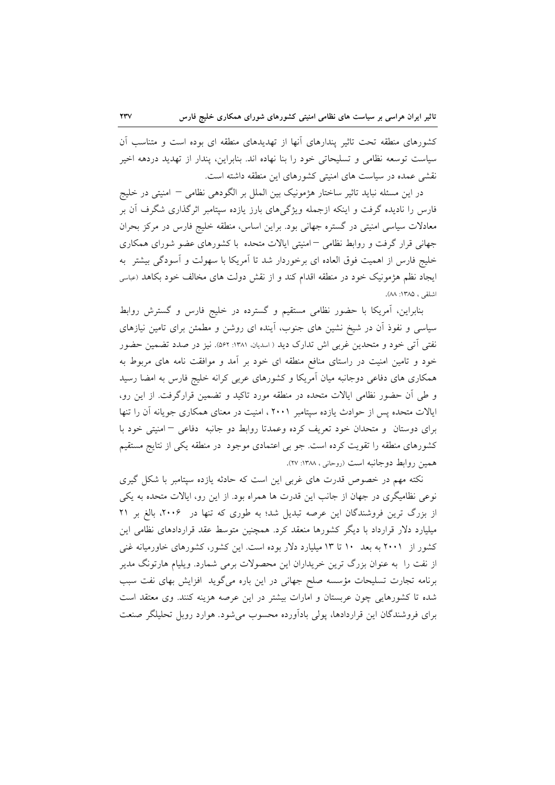کشورهای منطقه تحت تاثیر پندارهای آنها از تهدیدهای منطقه ای بوده است و متناسب اَن سیاست توسعه نظامی و تسلیحاتی خود را بنا نهاده اند. بنابراین، پندار از تهدید دردهه اخیر نقشی عمده در سیاست های امنیتی کشورهای این منطقه داشته است.

در این مسئله نباید تاثیر ساختار هژمونیک بین الملل بر الگودهی نظامی – امنیتی در خلیج فارس را نادیده گرفت و اینکه ازجمله ویژگیهای بارز یازده سپتامبر اثرگذاری شگرف آن بر معادلات سیاسی امنیتی در گستره جهانی بود. براین اساس، منطقه خلیج فارس در مرکز بحران جهانی قرار گرفت و روابط نظامی <sup>— ام</sup>نیتی ایالات متحده با کشورهای عضو شورای همکاری خليج فارس از اهميت فوق العاده اي برخوردار شد تا آمريكا با سهولت و آسودگي بيشتر به ایجاد نظم هژمونیک خود در منطقه اقدام کند و از نقش دولت های مخالف خود بکاهد (عباسی اشلقى ، ١٣٨٥: ٨٨).

بنابراین، آمریکا با حضور نظامی مستقیم و گسترده در خلیج فارس و گسترش روابط سیاسی و نفوذ أن در شیخ نشین های جنوب، أینده ای روشن و مطمئن برای تامین نیازهای نفتی اّتی خود و متحدین غربی اش تدارک دید ( اسدیان، ۱۳۸۱: ۵۶۲). نیز در صدد تضمین حضور خود و تامین امنیت در راستای منافع منطقه ای خود بر آمد و موافقت نامه های مربوط به همکاری های دفاعی دوجانبه میان آمریکا و کشورهای عربی کرانه خلیج فارس به امضا رسید و طی أن حضور نظامی ایالات متحده در منطقه مورد تاکید و تضمین قرارگرفت. از این رو، ایالات متحده پس از حوادث یازده سپتامبر ۲۰۰۱ ، امنیت در معنای همکاری جویانه آن را تنها برای دوستان و متحدان خود تعریف کرده وعمدتا روابط دو جانبه دفاعی – امنیتی خود با کشورهای منطقه را تقویت کرده است. جو بی اعتمادی موجود در منطقه یکی از نتایج مستقیم همین روابط دوجانبه است (روحانی ، ۱۳۸۸: ۲۷).

نکته مهم در خصوص قدرت های غربی این است که حادثه یازده سپتامبر با شکل گیری نوعی نظامیگری در جهان از جانب این قدرت ها همراه بود. از این رو، ایالات متحده به یکی از بزرگ ترین فروشندگان این عرصه تبدیل شد؛ به طوری که تنها در ۲۰۰۶، بالغ بر ۲۱ میلیارد دلار قرارداد با دیگر کشورها منعقد کرد. همچنین متوسط عقد قراردادهای نظامی این کشور از ۲۰۰۱ به بعد ۱۰ تا ۱۳ میلیارد دلار بوده است. این کشور، کشورهای خاورمیانه غنی از نفت را به عنوان بزرگ ترین خریداران این محصولات برمی شمارد. ویلیام هارتونگ مدیر برنامه تجارت تسليحات مؤسسه صلح جهاني در اين باره مي گويد افزايش بهاي نفت سبب شده تا کشورهایی چون عربستان و امارات بیشتر در این عرصه هزینه کنند. وی معتقد است برای فروشندگان این قراردادها، پولی بادآورده محسوب می شود. هوارد روبل تحلیلگر صنعت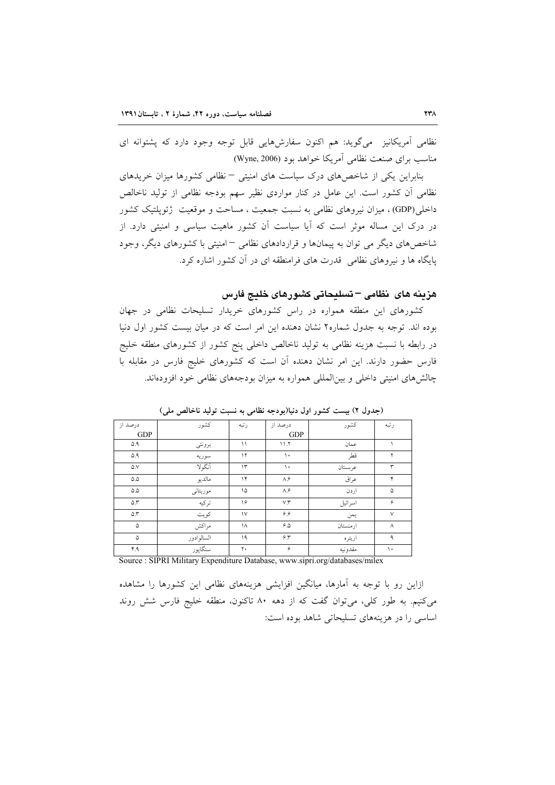نظامی آمریکانیز ً میگوید: هم اکنون سفارشهایی قابل توجه وجود دارد که پشتوانه ای مناسب برای صنعت نظامی آمریکا خواهد بود (Wyne, 2006)

بنابراین یکی از شاخصهای درک سیاست های امنیتی – نظامی کشورها میزان خریدهای نظامی آن کشور است. این عامل در کنار مواردی نظیر سهم بودجه نظامی از تولید ناخالص داخلي(GDP)، ميزان نيروهاي نظامي به نسبت جمعيت ، مساحت و موقعيت ژئويلتيک کشور در درک این مساله موثر است که آیا سیاست آن کشور ماهیت سیاسی و امنیتی دارد. از شاخصهای دیگر می توان به پیمانها و قراردادهای نظامی –امنیتی با کشورهای دیگر، وجود پایگاه ها و نیروهای نظامی ِ قدرت های فرامنطقه ای در آن کشور اشاره کرد.

هزينه هاى نظامى – تسليحاتى كشورهاى خليج فارس

کشورهای این منطقه همواره در راس کشورهای خریدار تسلیحات نظامی در جهان بوده اند. توجه به جدول شماره۲ نشان دهنده این امر است که در میان بیست کشور اول دنیا در رابطه با نسبت هزینه نظامی به تولید ناخالص داخلی پنج کشور از کشورهای منطقه خلیج فارس حضور دارند. این امر نشان دهنده آن است که کشورهای خلیج فارس در مقابله با چالش های امنیتی داخلی و بین المللی همواره به میزان بودجههای نظامی خود افزودهاند.

| درصد از           | كشور       | رتبه           | درصد از                   | كشور     | رتبه     |
|-------------------|------------|----------------|---------------------------|----------|----------|
| <b>GDP</b>        |            |                | <b>GDP</b>                |          |          |
| ۵.۹               | برونئي     | ۱۱             | 11.7                      | عمان     |          |
| 0.9               | سوريه      | $\gamma$       | $\mathcal{L}$             | قطر      | ۲        |
| $\Delta$ .V       | أنكولا     | $\Upsilon$     | ١.                        | عربستان  | ٣        |
| $\Delta \Delta$   | مالديو     | $\gamma$       | $\Lambda$ . $\mathcal{S}$ | عراق     | ۴        |
| $\Delta . \Delta$ | موريتاني   | ۱۵             | $\Lambda$ . $\mathcal{S}$ | اردن     | ۵        |
| $\Delta$ .۳       | تركيه      | ۱۶             | V.Y                       | اسرائيل  | ۶        |
| $\Delta$ .۳       | کو پت      | $\vee$         | ۶۶                        | يمن      | $\vee$   |
| ۵                 | مراكش      | ١٨             | 6.0                       | ارمنستان | $\wedge$ |
| ۵                 | السالوادور | ۱۹             | $5.5^{\circ}$             | اريتره   | ٩        |
| ۴.۹               | سنگاپور    | $\mathbf{r}$ . | ۶                         | مقدونيه  | ١٠       |

(جدول ٢) بيست كشور اول دنيا(بودجه نظامي به نسبت توليد ناخالص ملي)

Source : SIPRI Military Expenditure Database, www.sipri.org/databases/milex

ازاین رو با توجه به آمارها، میانگین افزایشی هزینههای نظامی این کشورها را مشاهده می کنیم. به طور کلی، می توان گفت که از دهه ۸۰ تاکنون، منطقه خلیج فارس شش روند اساسی را در هزینههای تسلیحاتی شاهد بوده است: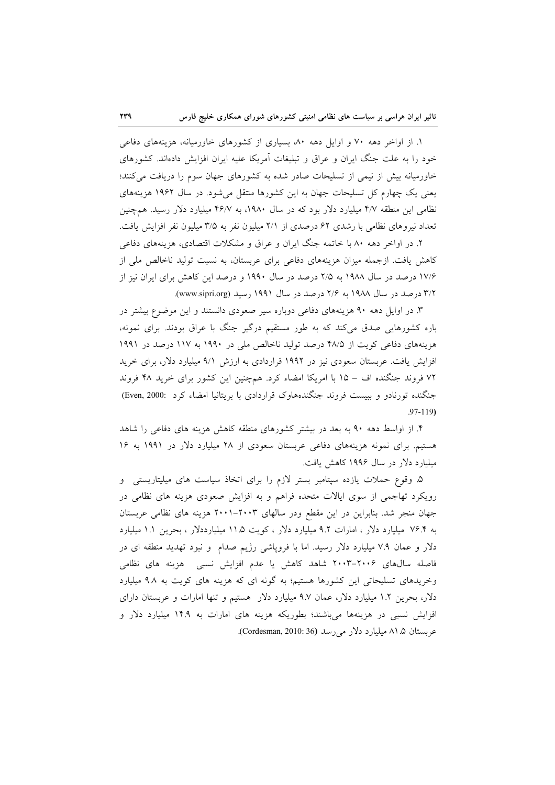۱. از اواخر دهه ۷۰ و اوایل دهه ۸۰ بسیاری از کشورهای خاورمیانه، هزینههای دفاعی خود را به علت جنگ ایران و عراق و تبلیغات آمریکا علیه ایران افزایش دادهاند. کشورهای خاورمیانه بیش از نیمی از تسلیحات صادر شده به کشورهای جهان سوم را دریافت میکنند؛ یعنی یک چهارم کل تسلیحات جهان به این کشورها منتقل میشود. در سال ۱۹۶۲ هزینههای نظامی این منطقه ۴/۷ میلیارد دلار بود که در سال ۱۹۸۰، به ۴۶/۷ میلیارد دلار رسید. همچنین تعداد نیروهای نظامی با رشدی ۶۲ درصدی از ۲/۱ میلیون نفر به ۳/۵ میلیون نفر افزایش یافت.

۲. در اواخر دهه ۸۰ با خاتمه جنگ ایران و عراق و مشکلات اقتصادی، هزینههای دفاعی کاهش یافت. ازجمله میزان هزینههای دفاعی برای عربستان، به نسبت تولید ناخالص ملی از ۱۷/۶ درصد در سال ۱۹۸۸ به ۲/۵ درصد در سال ۱۹۹۰ و درصد این کاهش برای ایران نیز از ۳/۲ درصد در سال ۱۹۸۸ به ۲/۶ درصد در سال ۱۹۹۱ رسید (www.sipri.org).

۳. در اوایل دهه ۹۰ هزینههای دفاعی دوباره سیر صعودی دانستند و این موضوع بیشتر در باره کشورهایی صدق میکند که به طور مستقیم درگیر جنگ با عراق بودند. برای نمونه، هزینههای دفاعی کویت از ۴۸/۵ درصد تولید ناخالص ملی در ۱۹۹۰ به ۱۱۷ درصد در ۱۹۹۱ افزایش یافت. عربستان سعودی نیز در ۱۹۹۲ قراردادی به ارزش ۹/۱ میلیارد دلار، برای خرید ٧٢ فروند جنگنده اف – ١٥ با امريكا امضاء كرد. همچنين اين كشور براى خريد ۴٨ فروند جنگنده تورنادو و ببیست فروند جنگندههاوک قراردادی با بریتانیا امضاء کرد .(Even, 2000)  $.97 - 119$ 

۴. از اواسط دهه ۹۰ به بعد در بیشتر کشورهای منطقه کاهش هزینه های دفاعی را شاهد هستیم. برای نمونه هزینههای دفاعی عربستان سعودی از ۲۸ میلیارد دلار در ۱۹۹۱ به ۱۶ میلیارد دلار در سال ۱۹۹۶ کاهش یافت.

۵. وقوع حملات یازده سپتامبر بستر لازم را برای اتخاذ سیاست های میلیتاریستی و رویکرد تهاجمی از سوی ایالات متحده فراهم و به افزایش صعودی هزینه های نظامی در جهان منجر شد. بنابراین در این مقطع ودر سالهای ۲۰۰۳–۲۰۰۱ هزینه های نظامی عربستان به ۷۶.۴ میلیارد دلار ، امارات ۹.۲ میلیارد دلار ، کویت ۱۱.۵ میلیارددلار ، بحرین ۱.۱ میلیارد دلار و عمان ٧.٩ میلیارد دلار رسید. اما با فروپاشی رژیم صدام و نبود تهدید منطقه ای در فاصله سالهای ۲۰۰۴–۲۰۰۳ شاهد کاهش یا عدم افزایش نسبی هزینه های نظامی وخریدهای تسلیحاتی این کشورها هستیم؛ به گونه ای که هزینه های کویت به ۹.۸ میلیارد دلار، بحرین ۱.۲ میلیارد دلار، عمان ۹.۷ میلیارد دلار هستیم و تنها امارات و عربستان دارای افزایش نسبی در هزینهها میباشند؛ بطوریکه هزینه های امارات به ۱۴.۹ میلیارد دلار و عربستان ۱.۵ میلیارد دلار می رسد (Cordesman, 2010: 36).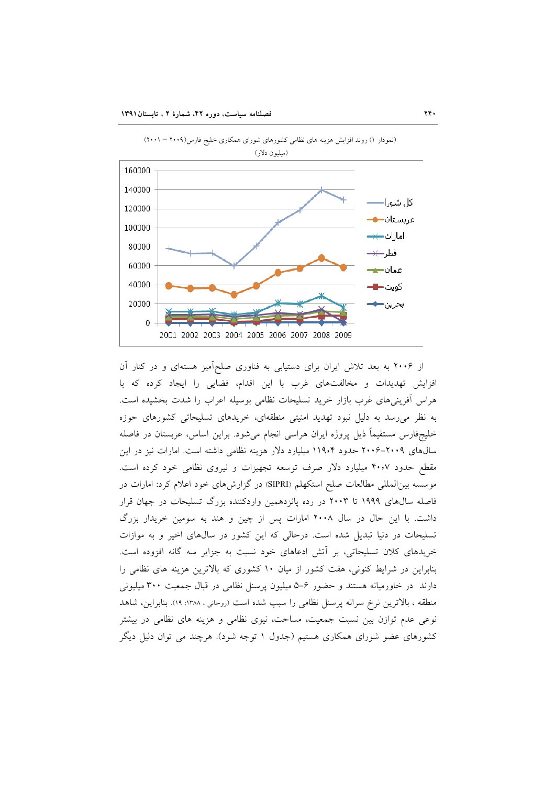

(نمودار ١) روند افزایش هزینه های نظامی کشورهای شورای همکاری خلیج فارس(٢٠٠٩ - ٢٠٠١)

از ۲۰۰۶ به بعد تلاش ایران برای دستیابی به فناوری صلحآمیز هستهای و در کنار آن افزایش تهدیدات و مخالفتهای غرب با این اقدام، فضایی را ایجاد کرده که با هراس آفرینیهای غرب بازار خرید تسلیحات نظامی بوسیله اعراب را شدت بخشیده است. به نظر میرسد به دلیل نبود تهدید امنیتی منطقهای، خریدهای تسلیحاتی کشورهای حوزه خلیجفارس مستقیماً ذیل پروژه ایران هراسی انجام میشود. براین اساس، عربستان در فاصله سالهای ۲۰۰۹–۲۰۰۶ حدود ۱۱۹۰۴ میلیارد دلار هزینه نظامی داشته است. امارات نیز در این مقطع حدود ۴۰٫۷ میلیارد دلار صرف توسعه تجهیزات و نیروی نظامی خود کرده است. موسسه بین|لمللی مطالعات صلح استکهلم (SIPRI) در گزارشهای خود اعلام کرد: امارات در فاصله سالهای ۱۹۹۹ تا ۲۰۰۳ در رده پانزدهمین واردکننده بزرگ تسلیحات در جهان قرار داشت. با این حال در سال ۲۰۰۸ امارات پس از چین و هند به سومین خریدار بزرگ تسلیحات در دنیا تبدیل شده است. درحالی که این کشور در سالهای اخیر و به موازات خریدهای کلان تسلیحاتی، بر آتش ادعاهای خود نسبت به جزایر سه گانه افزوده است. بنابراین در شرایط کنونی، هفت کشور از میان ١٠ کشوری که بالاترین هزینه های نظامی را دارند در خاورمیانه هستند و حضور ۶–۵ میلیون پرسنل نظامی در قبال جمعیت ۳۰۰ میلیونی منطقه ، بالاترین نرخ سرانه پرسنل نظامی را سبب شده است (روحانی ، ۱۳۸۸: ۱۹). بنابراین، شاهد نوعی عدم توازن بین نسبت جمعیت، مساحت، نیوی نظامی و هزینه های نظامی در بیشتر کشورهای عضو شورای همکاری هستیم (جدول ۱ توجه شود). هرچند می توان دلیل دیگر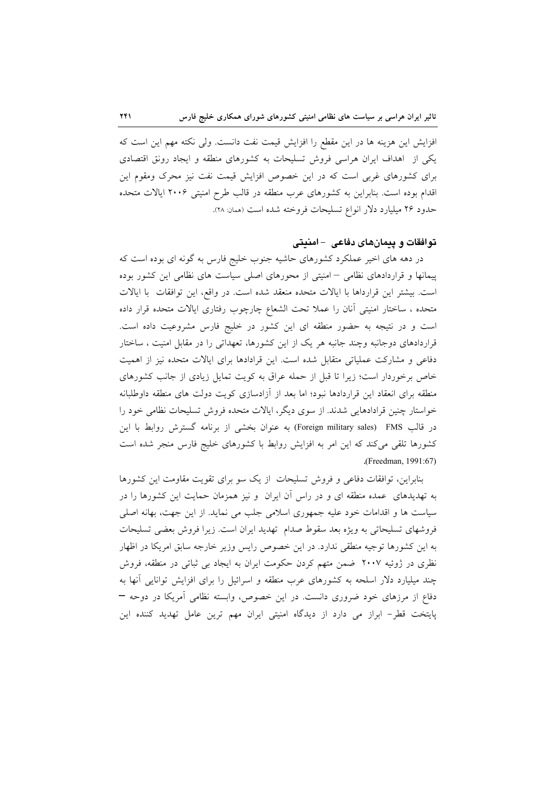افزایش این هزینه ها در این مقطع را افزایش قیمت نفت دانست. ولی نکته مهم این است که یکی از اهداف ایران هراسی فروش تسلیحات به کشورهای منطقه و ایجاد رونق اقتصادی برای کشورهای غربی است که در این خصوص افزایش قیمت نفت نیز محرک ومقوم این اقدام بوده است. بنابراین به کشورهای عرب منطقه در قالب طرح امنیتی ۲۰۰۶ ایالات متحده حدود ٢۶ میلیارد دلار انواع تسلیحات فروخته شده است (همان: ٢٨).

### توافقات و بیمانهای دفاعی - امنیتی

در دهه های اخیر عملکرد کشورهای حاشیه جنوب خلیج فارس به گونه ای بوده است که پیمانها و قراردادهای نظامی – امنیتی از محورهای اصلی سیاست های نظامی این کشور بوده است. بیشتر این قرارداها با ایالات متحده منعقد شده است. در واقع، این توافقات با ایالات متحده ، ساختار امنیتی أنان را عملا تحت الشعاع چارچوب رفتاری ایالات متحده قرار داده است و در نتیجه به حضور منطقه ای این کشور در خلیج فارس مشروعیت داده است. قراردادهای دوجانبه وچند جانبه هر یک از این کشورها، تعهداتی را در مقابل امنیت ، ساختار دفاعی و مشارکت عملیاتی متقابل شده است. این قرادادها برای ایالات متحده نیز از اهمیت خاص برخوردار است؛ زیرا تا قبل از حمله عراق به کویت تمایل زیادی از جانب کشورهای منطقه برای انعقاد این قراردادها نبود؛ اما بعد از آزادسازی کویت دولت های منطقه داوطلبانه خواستار چنین قرادادهایی شدند. از سوی دیگر، ایالات متحده فروش تسلیحات نظامی خود را در قالب FMS) (Foreign military sales) به عنوان بخشی از برنامه گسترش روابط با این کشورها تلقی میکند که این امر به افزایش روابط با کشورهای خلیج فارس منجر شده است (Freedman, 1991:67).

بنابراین، توافقات دفاعی و فروش تسلیحات از یک سو برای تقویت مقاومت این کشورها به تهدیدهای عمده منطقه ای و در راس آن ایران و نیز همزمان حمایت این کشورها را در سیاست ها و اقدامات خود علیه جمهوری اسلامی جلب می نماید. از این جهت، بهانه اصلی فروشهای تسلیحاتی به ویژه بعد سقوط صدام تهدید ایران است. زیرا فروش بعضی تسلیحات به این کشورها توجیه منطقی ندارد. در این خصوص رایس وزیر خارجه سابق امریکا در اظهار نظری در ژوئیه ۲۰۰۷ ضمن متهم کردن حکومت ایران به ایجاد بی ثباتی در منطقه، فروش چند میلیارد دلار اسلحه به کشورهای عرب منطقه و اسرائیل را برای افزایش توانایی آنها به دفاع از مرزهای خود ضروری دانست. در این خصوص، وابسته نظامی آمریکا در دوحه – پایتخت قطر- ابراز می دارد از دیدگاه امنیتی ایران مهم ترین عامل تهدید کننده این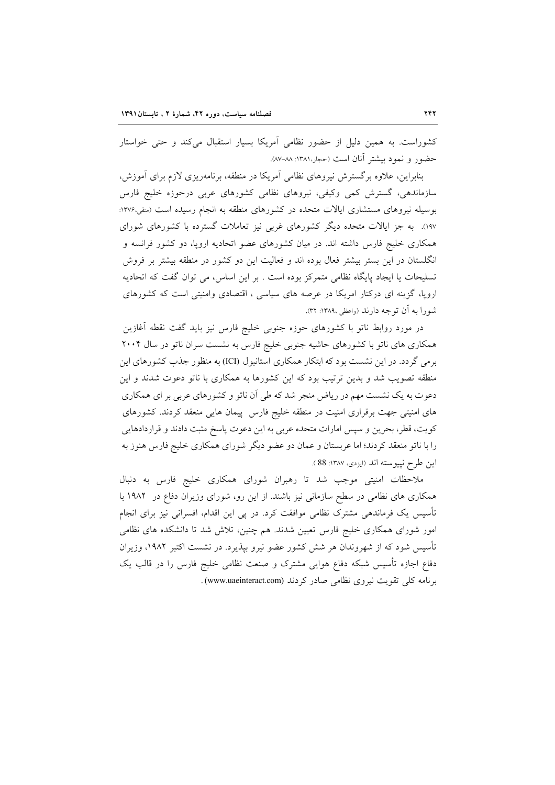کشوراست. به همین دلیل از حضور نظامی آمریکا بسیار استقبال میکند و حتی خواستار حضور و نمود بیشتر آنان است (ججار،۱۳۸۱: ۸۸–۸۷).

بنابراین، علاوه برگسترش نیروهای نظامی آمریکا در منطقه، برنامهریزی لازم برای آموزش، سازماندهی، گسترش کمی وکیفی، نیروهای نظامی کشورهای عربی درحوزه خلیج فارس بوسیله نیروهای مستشاری ایالات متحده در کشورهای منطقه به انجام رسیده است (متقی،۱۳۷۶: ۱۹۷). به جز ایالات متحده دیگر کشورهای غربی نیز تعاملات گسترده با کشورهای شورای همکاری خلیج فارس داشته اند. در میان کشورهای عضو اتحادیه اروپا، دو کشور فرانسه و انگلستان در این بستر بیشتر فعال بوده اند و فعالیت این دو کشور در منطقه بیشتر بر فروش تسلیحات یا ایجاد پایگاه نظامی متمرکز بوده است . بر این اساس، می توان گفت که اتحادیه اروپا، گزینه ای درکنار امریکا در عرصه های سیاسی ، اقتصادی وامنیتی است که کشورهای شورا به آن توجه دارند (واعظی ١٣٨٩: ٣٢).

در مورد روابط ناتو با کشورهای حوزه جنوبی خلیج فارس نیز باید گفت نقطه أغازین همکاری های ناتو با کشورهای حاشیه جنوبی خلیج فارس به نشست سران ناتو در سال ۲۰۰۴ برمی گردد. در این نشست بود که ابتکار همکاری استانبول (ICI) به منظور جذب کشورهای این منطقه تصویب شد و بدین ترتیب بود که این کشورها به همکاری با ناتو دعوت شدند و این دعوت به یک نشست مهم در ریاض منجر شد که طی آن ناتو و کشورهای عربی بر ای همکاری های امنیتی جهت برقراری امنیت در منطقه خلیج فارس پیمان هایی منعقد کردند. کشورهای کویت، قطر، بحرین و سپس امارات متحده عربی به این دعوت پاسخ مثبت دادند و قراردادهایی را با ناتو منعقد کردند؛ اما عربستان و عمان دو عضو دیگر شورای همکاری خلیج فارس هنوز به اين طرح نپيوسته اند (ايزدي، ١٣٨٧: 88 ).

ملاحظات امنیتی موجب شد تا رهبران شورای همکاری خلیج فارس به دنبال همکاری های نظامی در سطح سازمانی نیز باشند. از این رو، شورای وزیران دفاع در ۱۹۸۲ با تأسیس یک فرماندهی مشترک نظامی موافقت کرد. در پی این اقدام، افسرانی نیز برای انجام امور شورای همکاری خلیج فارس تعیین شدند. هم چنین، تلاش شد تا دانشکده های نظامی تأسیس شود که از شهروندان هر شش کشور عضو نیرو بیذیرد. در نشست اکتبر ۱۹۸۲، وزیران دفاع اجازه تأسیس شبکه دفاع هوایی مشترک و صنعت نظامی خلیج فارس را در قالب یک برنامه کلی تقویت نیروی نظامی صادر کردند (www.uaeinteract.com).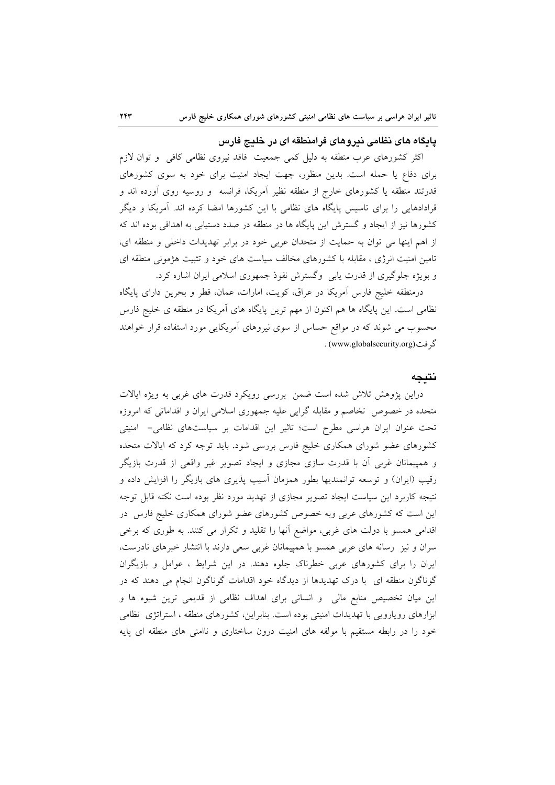#### پایگاه های نظامی نیروهای فرامنطقه ای در خلیج فارس

اکثر کشورهای عرب منطقه به دلیل کمی جمعیت فاقد نیروی نظامی کافی و توان لازم برای دفاع یا حمله است. بدین منظور، جهت ایجاد امنیت برای خود به سوی کشورهای قدرتند منطقه یا کشورهای خارج از منطقه نظیر آمریکا، فرانسه ً و روسیه روی آورده اند و قرادادهایی را برای تاسیس پایگاه های نظامی با این کشورها امضا کرده اند. آمریکا و دیگر کشورها نیز از ایجاد و گسترش این پایگاه ها در منطقه در صدد دستیابی به اهدافی بوده اند که از اهم اینها می توان به حمایت از متحدان عربی خود در برابر تهدیدات داخلی و منطقه ای، تامین امنیت انرژی ، مقابله با کشورهای مخالف سیاست های خود و تثبیت هژمونی منطقه ای و بویژه جلوگیری از قدرت پابی وگسترش نفوذ جمهوری اسلامی ایران اشاره کرد.

درمنطقه خلیج فارس آمریکا در عراق، کویت، امارات، عمان، قطر و بحرین دارای پایگاه نظامی است. این پایگاه ها هم اکنون از مهم ترین پایگاه های آمریکا در منطقه ی خلیج فارس محسوب می شوند که در مواقع حساس از سوی نیروهای آمریکایی مورد استفاده قرار خواهند گر فت (www.globalsecurity.org) .

#### نتيجه

دراین پژوهش تلاش شده است ضمن بررسی رویکرد قدرت های غربی به ویژه ایالات متحده در خصوص تخاصم و مقابله گرایی علیه جمهوری اسلامی ایران و اقداماتی که امروزه تحت عنوان ایران هراسی مطرح است؛ تاثیر این اقدامات بر سیاستهای نظامی- امنیتی کشورهای عضو شورای همکاری خلیج فارس بررسی شود. باید توجه کرد که ایالات متحده و همپیمانان غربی اَن با قدرت سازی مجازی و ایجاد تصویر غیر واقعی از قدرت بازیگر رقیب (ایران) و توسعه توانمندیها بطور همزمان آسیب پذیری های بازیگر را افزایش داده و نتیجه کاربرد این سیاست ایجاد تصویر مجازی از تهدید مورد نظر بوده است نکته قابل توجه این است که کشورهای عربی وبه خصوص کشورهای عضو شورای همکاری خلیج فارس در اقدامی همسو با دولت های غربی، مواضع آنها را تقلید و تکرار می کنند. به طوری که برخی سران و نیز رسانه های عربی همسو با همپیمانان غربی سعی دارند با انتشار خبرهای نادرست، ایران را برای کشورهای عربی خطرناک جلوه دهند. در این شرایط ، عوامل و بازیگران گوناگون منطقه ای با درک تهدیدها از دیدگاه خود اقدامات گوناگون انجام می دهند که در این میان تخصیص منابع مالی و انسانی برای اهداف نظامی از قدیمی ترین شیوه ها و ابزارهای رویارویی با تهدیدات امنیتی بوده است. بنابراین، کشورهای منطقه ، استراتژی نظامی خود را در رابطه مستقیم با مولفه های امنیت درون ساختاری و ناامنی های منطقه ای پایه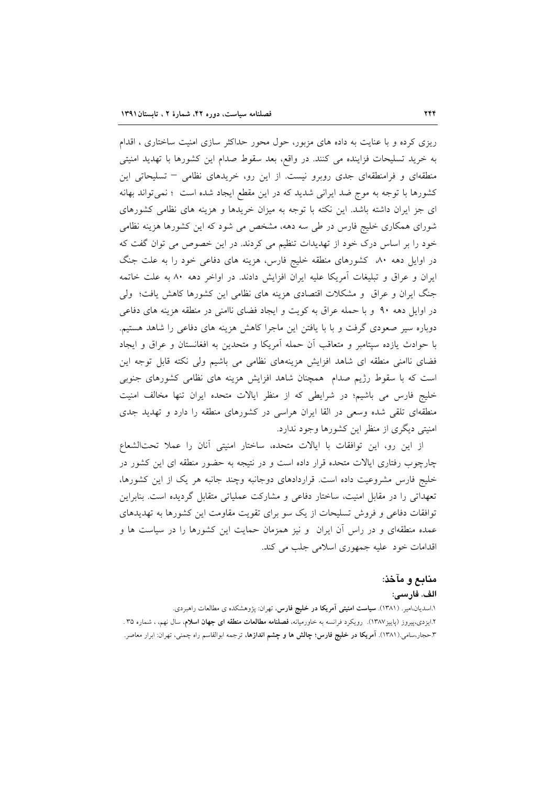ریزی کرده و با عنایت به داده های مزبور، حول محور حداکثر سازی امنیت ساختاری ، اقدام به خريد تسليحات فزاينده مي كنند. در واقع، بعد سقوط صدام اين كشورها با تهديد امنيتي منطقهای و فرامنطقهای جدی روبرو نیست. از این رو، خریدهای نظامی – تسلیحاتی این کشورها با توجه به موج ضد ایرانی شدید که در این مقطع ایجاد شده است ؛ نمیتواند بهانه ای جز ایران داشته باشد. این نکته با توجه به میزان خریدها و هزینه های نظامی کشورهای شورای همکاری خلیج فارس در طی سه دهه، مشخص می شود که این کشورها هزینه نظامی خود را بر اساس درک خود از تهدیدات تنظیم می کردند. در این خصوص می توان گفت که در اوایل دهه ۸۰ کشورهای منطقه خلیج فارس، هزینه های دفاعی خود را به علت جنگ ایران و عراق و تبلیغات آمریکا علیه ایران افزایش دادند. در اواخر دهه ۸۰ به علت خاتمه جنگ ایران و عراق و مشکلات اقتصادی هزینه های نظامی این کشورها کاهش یافت؛ ولی در اوایل دهه ۹۰ و با حمله عراق به کویت و ایجاد فضای ناامنی در منطقه هزینه های دفاعی دوباره سیر صعودی گرفت و با با یافتن این ماجرا کاهش هزینه های دفاعی را شاهد هستیم. با حوادث یازده سپتامبر و متعاقب آن حمله آمریکا و متحدین به افغانستان و عراق و ایجاد فضای ناامنی منطقه ای شاهد افزایش هزینههای نظامی می باشیم ولی نکته قابل توجه این است که با سقوط رژیم صدام ً همچنان شاهد افزایش هزینه های نظامی کشورهای جنوبی خليج فارس مي باشيم؛ در شرايطي كه از منظر ايالات متحده ايران تنها مخالف امنيت منطقهای تلقی شده وسعی در القا ایران هراسی در کشورهای منطقه را دارد و تهدید جدی امنیتی دیگری از منظر این کشورها وجود ندارد.

از این رو، این توافقات با ایالات متحده، ساختار امنیتی آنان را عملا تحتالشعاع چارچوب رفتاری ایالات متحده قرار داده است و در نتیجه به حضور منطقه ای این کشور در خلیج فارس مشروعیت داده است. قراردادهای دوجانبه وچند جانبه هر یک از این کشورها، تعهداتی را در مقابل امنیت، ساختار دفاعی و مشارکت عملیاتی متقابل گردیده است. بنابراین توافقات دفاعی و فروش تسلیحات از یک سو برای تقویت مقاومت این کشورها به تهدیدهای عمده منطقهای و در راس آن ایران ً و نیز همزمان حمایت این کشورها را در سیاست ها و اقدامات خود عليه جمهوري اسلامي جلب مي كند.

#### منابع و مآخذ:

#### الف. فارسى:

۱.اسدیان،امیر. (۱۳۸۱). **سیاست امنیتی آمریکا در خلیج فارس**، تهران: پژوهشکده ی مطالعات راهبردی. ۲.ایزدی،پیروز (پاییز۱۳۸۷). رویکرد فرانسه به خاورمیانه، **فصلنامه مطالعات منطقه ای جهان اسلام**، سال نهم، ، شماره ۳۵. ۳ـحجار،سامی.(۱۳۸۱). **آمریکا در خلیج فارس؛ چالش ها و چشم اندازها**، ترجمه ابوالقاسم راه چمنی، تهران: ابرار معاصر.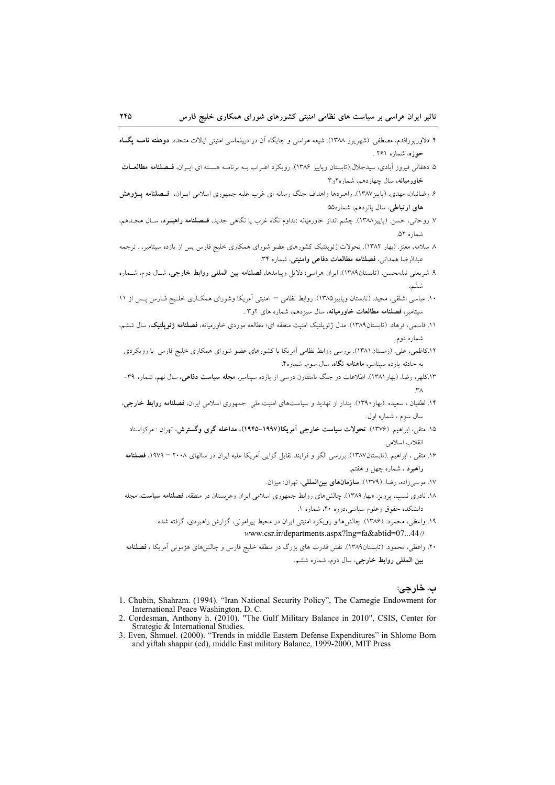- ۴. دلاوریوراقدم، مصطفی. (شهریور ۱۳۸۸). شیعه هراسی و جایگاه آن در دیبلماسی امنیتی ایالات متحده، **دوهفته نامــه یگــاه** حوزه، شماره ۲۶۱ .
- ۵. دهقانی فیروز آبادی، سیدجلال.(تابستان ویاییز ۱۳۸۶). رویکرد اعـراب بـه برنامـه هـسته ای ایـران، فـصلنامه مطالعـات خاورمیانه، سال چهاردهم، شماره ۲و ۳
- ۶. رضائیان، مهدی. (پاییز۱۳۸۷). راهبردها واهداف جنگ رسانه ای غرب علیه جمهوری اسلامی ایـران، فــصلنامه پــژوهش های ارتباطی، سال پانزدهم، شماره۵۵.
- ٧. روحاني، حسن. (باييز ١٣٨٨). چشم انداز خاورميانه :تداوم نگاه غرب يا نگاهي جديد، ف**ـصلنامه راهبـرد**، سـال هجـدهم، شماره ۵۲.
- ۸ سلامه، معتز. (بهار ۱۳۸۲). تحولات ژئوپلتیک کشورهای عضو شورای همکاری خلیج فارس پس از یازده سپتامبر، . ترجمه عبدالرضا همداني، فصلنامه مطالعات دفاعي وامنيتي، شماره ٣۴.
- ۹. شریعتی نیا،محسن. (تابستان۱۳۸۹). ایران هراسی: دلایل وپیامدها، **فصلنامه بین المللی روابط خارجی**، شـال دوم، شــماره ششم.
- ۱۰. عباسی اشلقی، مجید. (تابستان وپاییز۱۳۸۵). روابط نظامی امنیتی اَمریکا وشورای همکـاری خلـیج فـارس پـس از ۱۱ سیتامبر، **فصلنامه مطالعات خاورمیانه**، سال سیزدهم، شماره های ۲و۳.
- ۱۱. قاسمی، فرهاد. (تابستان۱۳۸۹). مدل ژئویلتیک امنیت منطقه ای؛ مطالعه موردی خاورمیانه، فصلنامه <mark>ژئویلتیک</mark>، سال ششم، شماره دوم.
- ۱۲.کاظمی، علی. (زمستان۱۳۸۱). بررسی روابط نظامی اَمریکا با کشورهای عضو شورای همکاری خلیج فارس با رویکردی به جادثه بازده سبتامیر، **ماهنامه نگاه**، سال سوم، شماره۴.
- ۱۳.کلهر، رضا. (بهار ۱۳۸۱). اطلاعات در جنگ نامتقارن درس<sub>ی</sub> از یازده سپتامبر، **مجله سیاست دفاعی**، سال نهم، شماره ۳۹–  $\mathsf{r}_\Lambda$
- ۱۴. لطفیان ، سعیده .(بهار ۱۳۹۰). پندار از تهدید و سیاستهای امنیت مل<sub>ی</sub> جمهوری اسلامی ایران، **فصلنامه روابط خارجی**، سال سوم، شماره اول.
	- ۱۵. متقی، ابراهیم. (۱۳۷۶). <mark>تحولات سیاست خارجی اَمریکا(۱۹۹۷–۱۹۴۵)، مداخله گری وگستر</mark>ش، تهران : مرکزاسناد انقلاب اسلامي.
- ۱۶. متقی ، ابراهیم .(تابستان۱۳۸۷). بررسی الگو و فرایند تقابل گرایی آمریکا علیه ایران در سالهای ۲۰۰۸ ۱۹۷۹، فصلنامه راهبرد ، شماره چهل و هفتم.
	- ١٧. موسىزاده، رضا. (١٣٧٩). **سازمانهاى بينالمللى**، تهران: ميزان.
- ۱۸. نادری نسب، یرویز. «بهار۱۳۸۹). چالش های روابط جمهوری اسلامی ایران وعربستان در منطقه، **فصلنامه سیاست**، مجله دانشکده حقوق وعلوم سیاسی،دوره ۴۰، شماره ۱.
	- ۱۹. واعظی، محمود. (۱۳۸۶). چالشها و رویکرد امنیتی ایران در محیط پیرامونی، گزارش راهبردی، گرفته شده www.csr.ir/departments.aspx?lng=fa&abtid=07...44/
- ۲۰. واعظی، محمود. (تابستان۱۳۸۹). نقش قدرت های بزرگ در منطقه خلیج فارس و چالشهای هژمونی اَمریکا ، **فصلنامه** بين المللي روابط خارجي، سال دوم، شماره ششم.

ب. خارجي:

- 1. Chubin, Shahram. (1994). "Iran National Security Policy", The Carnegie Endowment for International Peace Washington, D. C.
- 2. Cordesman, Anthony h. (2010). "The Gulf Military Balance in 2010", CSIS, Center for Strategic & International Studies.
- 3. Even, Shmuel. (2000). "Trends in middle Eastern Defense Expenditures" in Shlomo Born and yiftah shappir (ed), middle East military Balance, 1999-2000, MIT Press